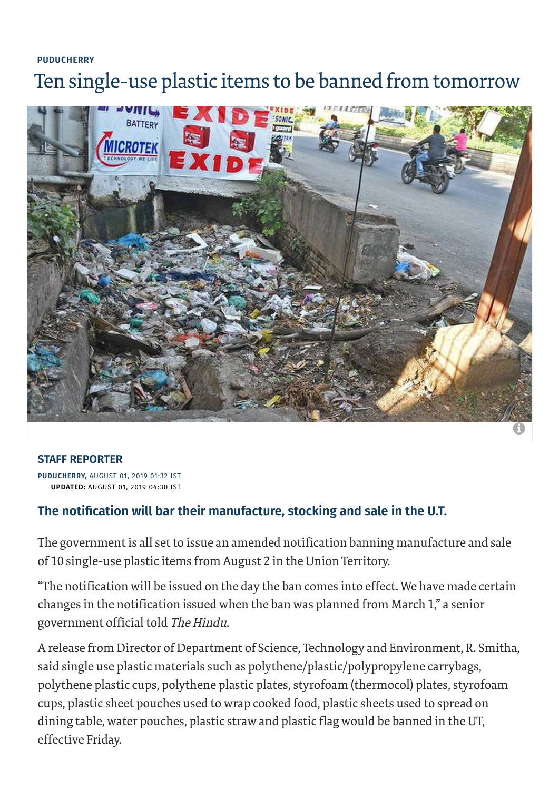### **[PUDUCHERRY](https://www.thehindu.com/news/cities/puducherry/)**

# Ten single-use plastic items to be banned from tomorrow



#### **STAFF REPORTER**

**PUDUCHERRY,** AUGUST 01, 2019 01:32 IST **UPDATED:** AUGUST 01, 2019 04:30 IST

## **The notification will bar their manufacture, stocking and sale in the U.T.**

The government is all set to issue an amended notification banning manufacture and sale of 10 single-use plastic items from August 2 in the Union Territory.

"The notification will be issued on the day the ban comes into effect. We have made certain changes in the notification issued when the ban was planned from March 1," a senior government official told The Hindu.

A release from Director of Department of Science, Technology and Environment, R. Smitha, said single use plastic materials such as polythene/plastic/polypropylene carrybags, polythene plastic cups, polythene plastic plates, styrofoam (thermocol) plates, styrofoam cups, plastic sheet pouches used to wrap cooked food, plastic sheets used to spread on dining table, water pouches, plastic straw and plastic flag would be banned in the UT, effective Friday.